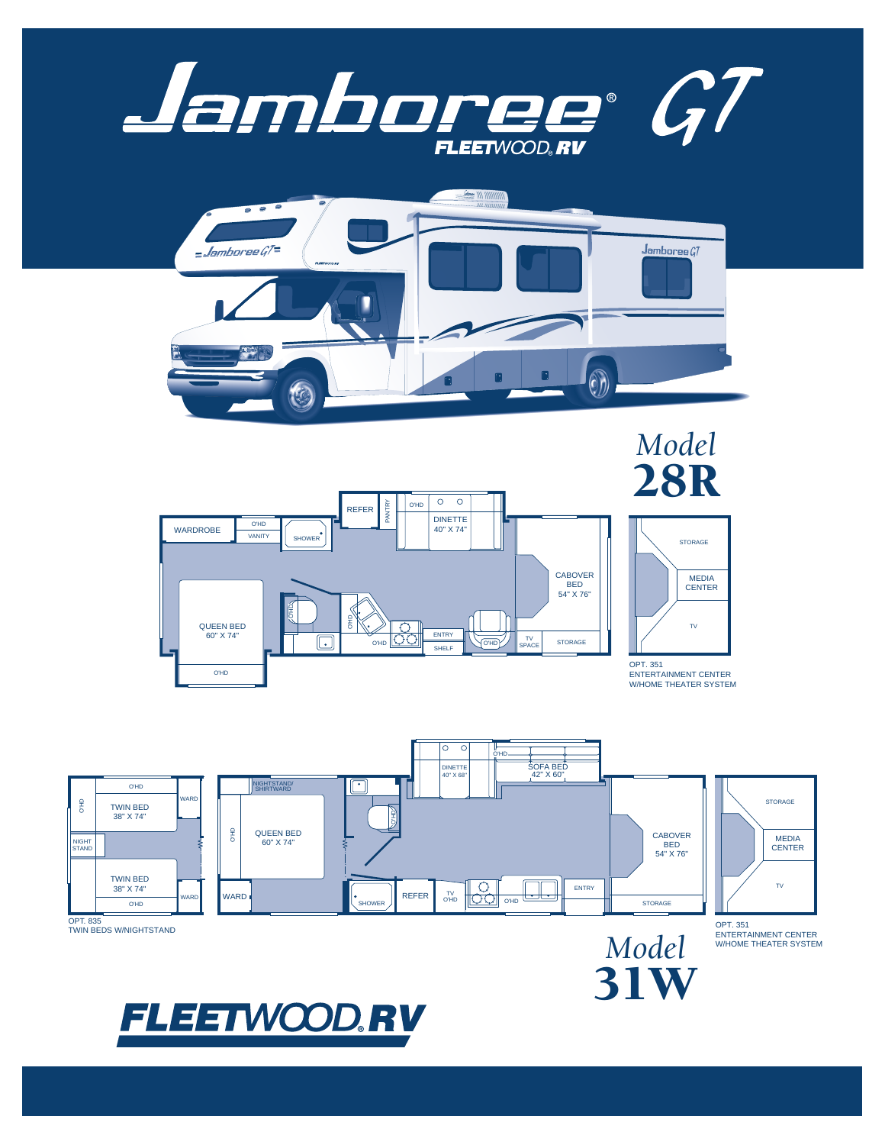







ENTERTAINMENT CENTER W/HOME THEATER SYSTEM

31W